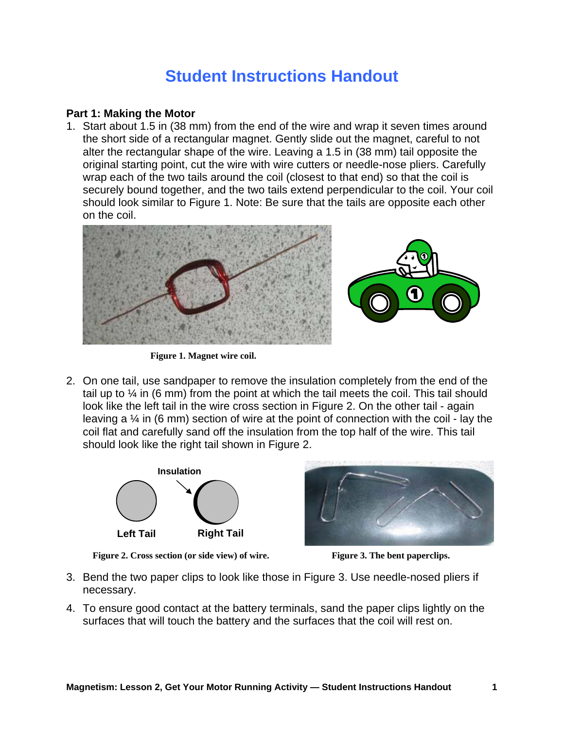## **Student Instructions Handout**

## **Part 1: Making the Motor**

1. Start about 1.5 in (38 mm) from the end of the wire and wrap it seven times around the short side of a rectangular magnet. Gently slide out the magnet, careful to not alter the rectangular shape of the wire. Leaving a 1.5 in (38 mm) tail opposite the original starting point, cut the wire with wire cutters or needle-nose pliers. Carefully wrap each of the two tails around the coil (closest to that end) so that the coil is securely bound together, and the two tails extend perpendicular to the coil. Your coil should look similar to Figure 1. Note: Be sure that the tails are opposite each other on the coil.



**Figure 1. Magnet wire coil.** 

2. On one tail, use sandpaper to remove the insulation completely from the end of the tail up to  $\frac{1}{4}$  in (6 mm) from the point at which the tail meets the coil. This tail should look like the left tail in the wire cross section in Figure 2. On the other tail - again leaving a ¼ in (6 mm) section of wire at the point of connection with the coil - lay the coil flat and carefully sand off the insulation from the top half of the wire. This tail should look like the right tail shown in Figure 2.



**Figure 2. Cross section (or side view) of wire.** Figure 3. The bent paperclips.



- 3. Bend the two paper clips to look like those in Figure 3. Use needle-nosed pliers if necessary.
- 4. To ensure good contact at the battery terminals, sand the paper clips lightly on the surfaces that will touch the battery and the surfaces that the coil will rest on.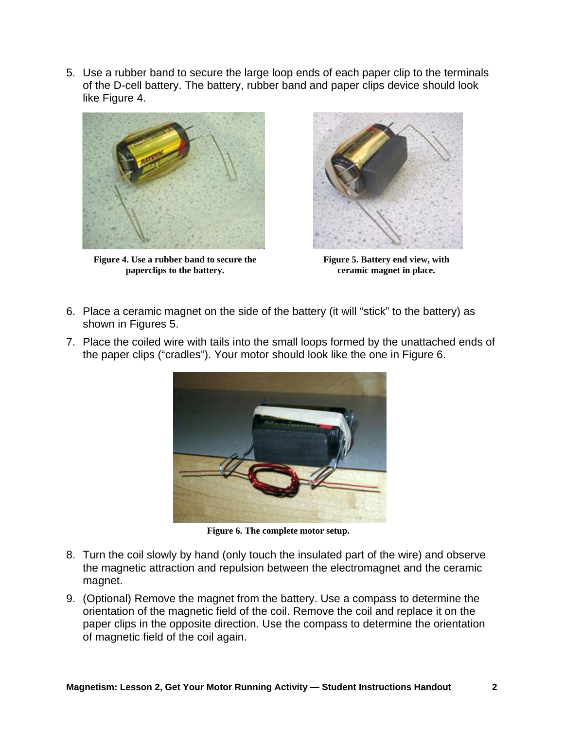5. Use a rubber band to secure the large loop ends of each paper clip to the terminals of the D-cell battery. The battery, rubber band and paper clips device should look like Figure 4.



**Figure 4. Use a rubber band to secure the paperclips to the battery.** 



**Figure 5. Battery end view, with ceramic magnet in place.** 

- 6. Place a ceramic magnet on the side of the battery (it will "stick" to the battery) as shown in Figures 5.
- 7. Place the coiled wire with tails into the small loops formed by the unattached ends of the paper clips ("cradles"). Your motor should look like the one in Figure 6.



**Figure 6. The complete motor setup.** 

- 8. Turn the coil slowly by hand (only touch the insulated part of the wire) and observe the magnetic attraction and repulsion between the electromagnet and the ceramic magnet.
- 9. (Optional) Remove the magnet from the battery. Use a compass to determine the orientation of the magnetic field of the coil. Remove the coil and replace it on the paper clips in the opposite direction. Use the compass to determine the orientation of magnetic field of the coil again.